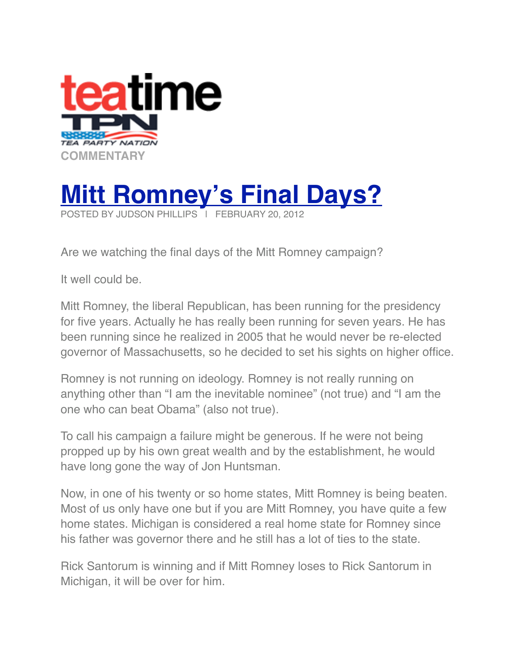



Are we watching the final days of the Mitt Romney campaign?

It well could be.

Mitt Romney, the liberal Republican, has been running for the presidency for five years. Actually he has really been running for seven years. He has been running since he realized in 2005 that he would never be re-elected governor of Massachusetts, so he decided to set his sights on higher office.

Romney is not running on ideology. Romney is not really running on anything other than "I am the inevitable nominee" (not true) and "I am the one who can beat Obama" (also not true).

To call his campaign a failure might be generous. If he were not being propped up by his own great wealth and by the establishment, he would have long gone the way of Jon Huntsman.

Now, in one of his twenty or so home states, Mitt Romney is being beaten. Most of us only have one but if you are Mitt Romney, you have quite a few home states. Michigan is considered a real home state for Romney since his father was governor there and he still has a lot of ties to the state.

Rick Santorum is winning and if Mitt Romney loses to Rick Santorum in Michigan, it will be over for him.